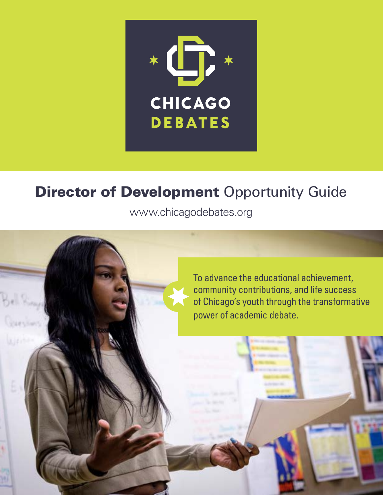

# **Director of Development Opportunity Guide**

[www.chicagodebates.org](http://www.chicagodebates.org)

To advance the educational achievement, community contributions, and life success of Chicago's youth through the transformative power of academic debate.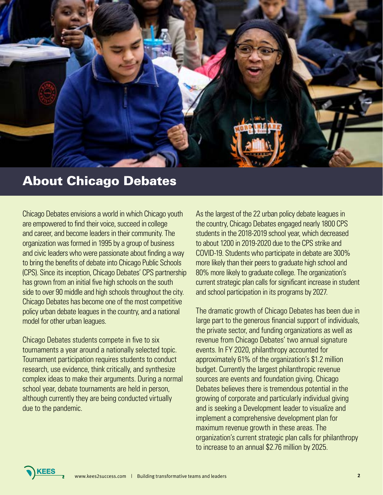

## About Chicago Debates

Chicago Debates envisions a world in which Chicago youth are empowered to find their voice, succeed in college and career, and become leaders in their community. The organization was formed in 1995 by a group of business and civic leaders who were passionate about finding a way to bring the benefits of debate into Chicago Public Schools (CPS). Since its inception, Chicago Debates' CPS partnership has grown from an initial five high schools on the south side to over 90 middle and high schools throughout the city. Chicago Debates has become one of the most competitive policy urban debate leagues in the country, and a national model for other urban leagues.

Chicago Debates students compete in five to six tournaments a year around a nationally selected topic. Tournament participation requires students to conduct research, use evidence, think critically, and synthesize complex ideas to make their arguments. During a normal school year, debate tournaments are held in person, although currently they are being conducted virtually due to the pandemic.

**KEES** 

As the largest of the 22 urban policy debate leagues in the country, Chicago Debates engaged nearly 1800 CPS students in the 2018-2019 school year, which decreased to about 1200 in 2019-2020 due to the CPS strike and COVID-19. Students who participate in debate are 300% more likely than their peers to graduate high school and 80% more likely to graduate college. The organization's current strategic plan calls for significant increase in student and school participation in its programs by 2027.

The dramatic growth of Chicago Debates has been due in large part to the generous financial support of individuals, the private sector, and funding organizations as well as revenue from Chicago Debates' two annual signature events. In FY 2020, philanthropy accounted for approximately 61% of the organization's \$1.2 million budget. Currently the largest philanthropic revenue sources are events and foundation giving. Chicago Debates believes there is tremendous potential in the growing of corporate and particularly individual giving and is seeking a Development leader to visualize and implement a comprehensive development plan for maximum revenue growth in these areas. The organization's current strategic plan calls for philanthropy to increase to an annual \$2.76 million by 2025.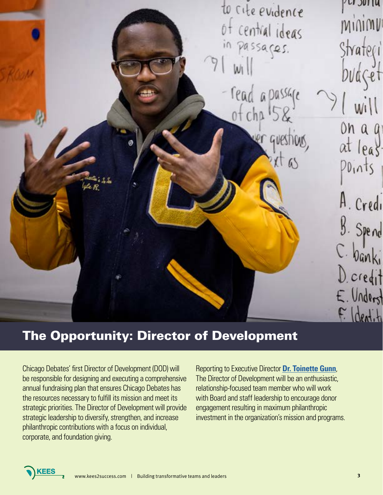

# The Opportunity: Director of Development

Chicago Debates' first Director of Development (DOD) will be responsible for designing and executing a comprehensive annual fundraising plan that ensures Chicago Debates has the resources necessary to fulfill its mission and meet its strategic priorities. The Director of Development will provide strategic leadership to diversify, strengthen, and increase philanthropic contributions with a focus on individual, corporate, and foundation giving.

Reporting to Executive Director **[Dr. Toinette Gunn](https://www.chicagodebates.org/who-we-are/our-team/dr-toinette-gunn/)**, The Director of Development will be an enthusiastic, relationship-focused team member who will work with Board and staff leadership to encourage donor engagement resulting in maximum philanthropic investment in the organization's mission and programs.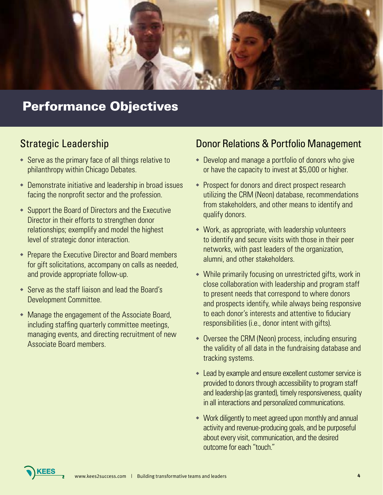

# Performance Objectives

### Strategic Leadership

- $\bullet$  Serve as the primary face of all things relative to philanthropy within Chicago Debates.
- $\bullet$  Demonstrate initiative and leadership in broad issues facing the nonprofit sector and the profession.
- $\bullet$  Support the Board of Directors and the Executive Director in their efforts to strengthen donor relationships; exemplify and model the highest level of strategic donor interaction.
- $\bullet$  Prepare the Executive Director and Board members for gift solicitations, accompany on calls as needed, and provide appropriate follow-up.
- $\bullet$  Serve as the staff liaison and lead the Board's Development Committee.
- $\bullet$  Manage the engagement of the Associate Board, including staffing quarterly committee meetings, managing events, and directing recruitment of new Associate Board members.

### Donor Relations & Portfolio Management

- $\bullet$  Develop and manage a portfolio of donors who give or have the capacity to invest at \$5,000 or higher.
- Prospect for donors and direct prospect research utilizing the CRM (Neon) database, recommendations from stakeholders, and other means to identify and qualify donors.
- $\bullet$  Work, as appropriate, with leadership volunteers to identify and secure visits with those in their peer networks, with past leaders of the organization, alumni, and other stakeholders.
- $\bullet$  While primarily focusing on unrestricted gifts, work in close collaboration with leadership and program staff to present needs that correspond to where donors and prospects identify, while always being responsive to each donor's interests and attentive to fiduciary responsibilities (i.e., donor intent with gifts).
- $\bullet$  Oversee the CRM (Neon) process, including ensuring the validity of all data in the fundraising database and tracking systems.
- Lead by example and ensure excellent customer service is provided to donors through accessibility to program staff and leadership (as granted), timely responsiveness, quality in all interactions and personalized communications.
- $\bullet$  Work diligently to meet agreed upon monthly and annual activity and revenue-producing goals, and be purposeful about every visit, communication, and the desired outcome for each "touch."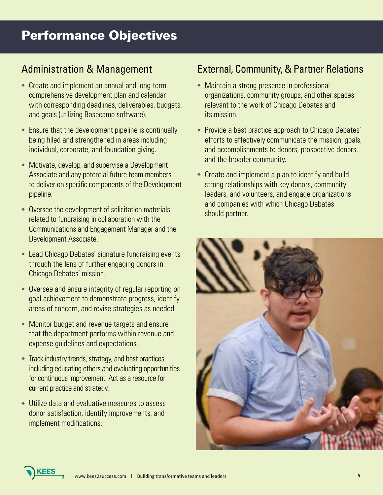# Performance Objectives

### Administration & Management

- $\bullet$  Create and implement an annual and long-term comprehensive development plan and calendar with corresponding deadlines, deliverables, budgets, and goals (utilizing Basecamp software).
- $\bullet$  Ensure that the development pipeline is continually being filled and strengthened in areas including individual, corporate, and foundation giving.
- $\bullet$  Motivate, develop, and supervise a Development Associate and any potential future team members to deliver on specific components of the Development pipeline.
- $\bullet$  Oversee the development of solicitation materials related to fundraising in collaboration with the Communications and Engagement Manager and the Development Associate.
- $\bullet$  Lead Chicago Debates' signature fundraising events through the lens of further engaging donors in Chicago Debates' mission.
- $\bullet$  Oversee and ensure integrity of regular reporting on goal achievement to demonstrate progress, identify areas of concern, and revise strategies as needed.
- $\bullet$  Monitor budget and revenue targets and ensure that the department performs within revenue and expense guidelines and expectations.
- $\bullet$  Track industry trends, strategy, and best practices, including educating others and evaluating opportunities for continuous improvement. Act as a resource for current practice and strategy.
- $\bullet$  Utilize data and evaluative measures to assess donor satisfaction, identify improvements, and implement modifications.

### External, Community, & Partner Relations

- $\bullet$  Maintain a strong presence in professional organizations, community groups, and other spaces relevant to the work of Chicago Debates and its mission.
- Provide a best practice approach to Chicago Debates' efforts to effectively communicate the mission, goals, and accomplishments to donors, prospective donors, and the broader community.
- $\bullet$  Create and implement a plan to identify and build strong relationships with key donors, community leaders, and volunteers, and engage organizations and companies with which Chicago Debates should partner.



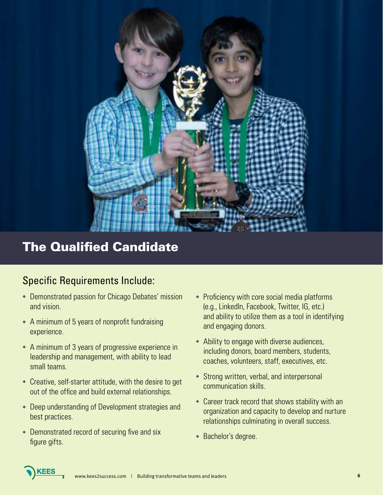

# The Qualified Candidate

### Specific Requirements Include:

- **Demonstrated passion for Chicago Debates' mission** and vision.
- $\bullet$  A minimum of 5 years of nonprofit fundraising experience.
- $\bullet$  A minimum of 3 years of progressive experience in leadership and management, with ability to lead small teams.
- $\bullet$  Creative, self-starter attitude, with the desire to get out of the office and build external relationships.
- **Deep understanding of Development strategies and** best practices.
- $\bullet$  Demonstrated record of securing five and six figure gifts.
- $\cdot$  Proficiency with core social media platforms (e.g., LinkedIn, Facebook, Twitter, IG, etc.) and ability to utilize them as a tool in identifying and engaging donors.
- $\bullet$  Ability to engage with diverse audiences, including donors, board members, students, coaches, volunteers, staff, executives, etc.
- $\bullet$  Strong written, verbal, and interpersonal communication skills.
- $\bullet$  Career track record that shows stability with an organization and capacity to develop and nurture relationships culminating in overall success.
- ◆ Bachelor's degree.

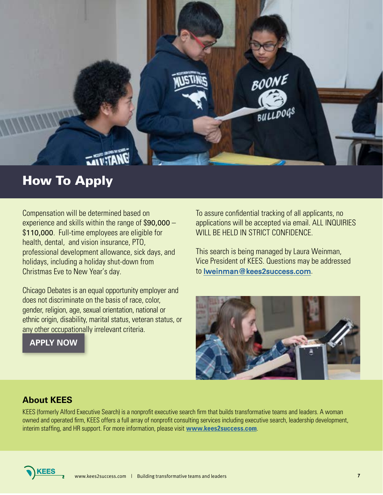

## How To Apply

Compensation will be determined based on experience and skills within the range of \$90,000 – \$110,000. Full-time employees are eligible for health, dental, and vision insurance, PTO, professional development allowance, sick days, and holidays, including a holiday shut-down from Christmas Eve to New Year's day.

Chicago Debates is an equal opportunity employer and does not discriminate on the basis of race, color, gender, religion, age, sexual orientation, national or ethnic origin, disability, marital status, veteran status, or any other occupationally irrelevant criteria.

**[APPLY NOW](https://kees2success.applicantstack.com/x/apply/a2713pbkxtp6)**

To assure confidential tracking of all applicants, no applications will be accepted via email. ALL INQUIRIES WILL BE HELD IN STRICT CONFIDENCE.

This search is being managed by Laura Weinman, Vice President of KEES. Questions may be addressed to [lweinman@kees2success.com](mailto:lweinman@kees2success.com).



### **About KEES**

KEES (formerly Alford Executive Search) is a nonprofit executive search firm that builds transformative teams and leaders. A woman owned and operated firm, KEES offers a full array of nonprofit consulting services including executive search, leadership development, interim staffing, and HR support. For more information, please visit **<www.kees2success.com>**.